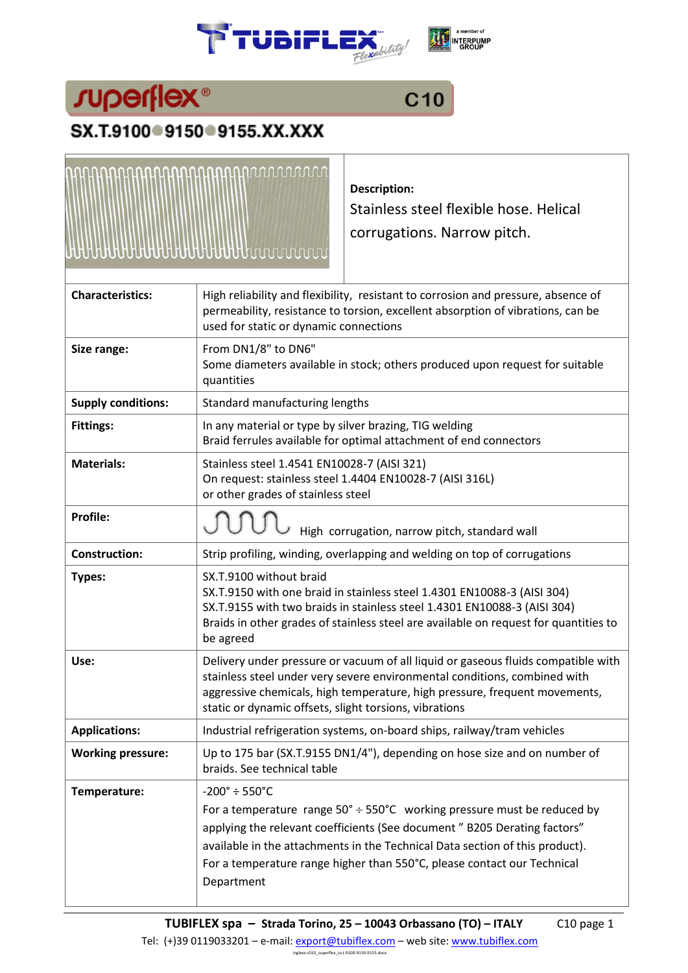





## SX.T.9100 9150 9155.XX.XXX



**Description:**

Stainless steel flexible hose. Helical corrugations. Narrow pitch.

| High reliability and flexibility, resistant to corrosion and pressure, absence of<br>permeability, resistance to torsion, excellent absorption of vibrations, can be<br>used for static or dynamic connections                                                                                                                                                                        |  |  |  |  |  |  |  |
|---------------------------------------------------------------------------------------------------------------------------------------------------------------------------------------------------------------------------------------------------------------------------------------------------------------------------------------------------------------------------------------|--|--|--|--|--|--|--|
| From DN1/8" to DN6"<br>Some diameters available in stock; others produced upon request for suitable<br>quantities                                                                                                                                                                                                                                                                     |  |  |  |  |  |  |  |
| Standard manufacturing lengths                                                                                                                                                                                                                                                                                                                                                        |  |  |  |  |  |  |  |
| In any material or type by silver brazing, TIG welding<br>Braid ferrules available for optimal attachment of end connectors                                                                                                                                                                                                                                                           |  |  |  |  |  |  |  |
| Stainless steel 1.4541 EN10028-7 (AISI 321)<br>On request: stainless steel 1.4404 EN10028-7 (AISI 316L)<br>or other grades of stainless steel                                                                                                                                                                                                                                         |  |  |  |  |  |  |  |
| High corrugation, narrow pitch, standard wall                                                                                                                                                                                                                                                                                                                                         |  |  |  |  |  |  |  |
| Strip profiling, winding, overlapping and welding on top of corrugations                                                                                                                                                                                                                                                                                                              |  |  |  |  |  |  |  |
| SX.T.9100 without braid<br>SX.T.9150 with one braid in stainless steel 1.4301 EN10088-3 (AISI 304)<br>SX.T.9155 with two braids in stainless steel 1.4301 EN10088-3 (AISI 304)<br>Braids in other grades of stainless steel are available on request for quantities to<br>be agreed                                                                                                   |  |  |  |  |  |  |  |
| Delivery under pressure or vacuum of all liquid or gaseous fluids compatible with<br>stainless steel under very severe environmental conditions, combined with<br>aggressive chemicals, high temperature, high pressure, frequent movements,<br>static or dynamic offsets, slight torsions, vibrations                                                                                |  |  |  |  |  |  |  |
| Industrial refrigeration systems, on-board ships, railway/tram vehicles                                                                                                                                                                                                                                                                                                               |  |  |  |  |  |  |  |
| Up to 175 bar (SX.T.9155 DN1/4"), depending on hose size and on number of<br>braids. See technical table                                                                                                                                                                                                                                                                              |  |  |  |  |  |  |  |
| $-200^{\circ} \div 550^{\circ}$ C<br>For a temperature range $50^{\circ} \div 550^{\circ}$ C working pressure must be reduced by<br>applying the relevant coefficients (See document" B205 Derating factors"<br>available in the attachments in the Technical Data section of this product).<br>For a temperature range higher than 550°C, please contact our Technical<br>Department |  |  |  |  |  |  |  |
|                                                                                                                                                                                                                                                                                                                                                                                       |  |  |  |  |  |  |  |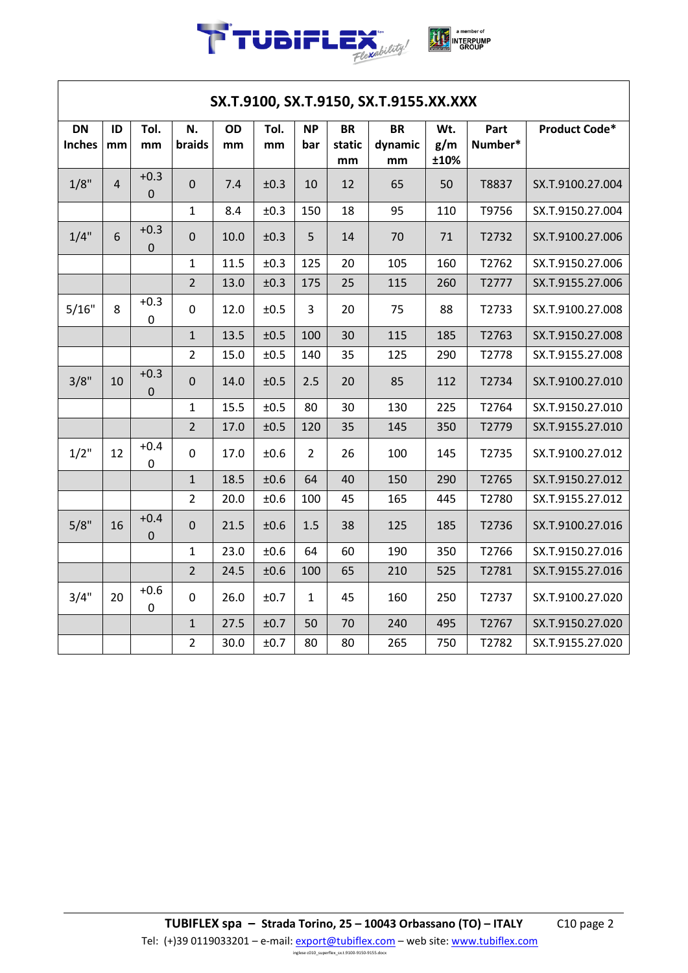

| SX.T.9100, SX.T.9150, SX.T.9155.XX.XXX |                |                            |                |          |            |                  |                           |                            |                    |                 |                      |
|----------------------------------------|----------------|----------------------------|----------------|----------|------------|------------------|---------------------------|----------------------------|--------------------|-----------------|----------------------|
| <b>DN</b><br><b>Inches</b>             | ID<br>mm       | Tol.<br>mm                 | N.<br>braids   | OD<br>mm | Tol.<br>mm | <b>NP</b><br>bar | <b>BR</b><br>static<br>mm | <b>BR</b><br>dynamic<br>mm | Wt.<br>g/m<br>±10% | Part<br>Number* | <b>Product Code*</b> |
| 1/8"                                   | $\overline{4}$ | $+0.3$<br>$\mathbf 0$      | $\mathbf 0$    | 7.4      | ±0.3       | 10               | 12                        | 65                         | 50                 | T8837           | SX.T.9100.27.004     |
|                                        |                |                            | $\mathbf{1}$   | 8.4      | ±0.3       | 150              | 18                        | 95                         | 110                | T9756           | SX.T.9150.27.004     |
| 1/4"                                   | 6              | $+0.3$<br>$\mathbf 0$      | $\mathbf 0$    | 10.0     | ±0.3       | 5                | 14                        | 70                         | 71                 | T2732           | SX.T.9100.27.006     |
|                                        |                |                            | 1              | 11.5     | ±0.3       | 125              | 20                        | 105                        | 160                | T2762           | SX.T.9150.27.006     |
|                                        |                |                            | $\overline{2}$ | 13.0     | ±0.3       | 175              | 25                        | 115                        | 260                | T2777           | SX.T.9155.27.006     |
| 5/16"                                  | 8              | $+0.3$<br>$\boldsymbol{0}$ | $\mathbf 0$    | 12.0     | ±0.5       | $\overline{3}$   | 20                        | 75                         | 88                 | T2733           | SX.T.9100.27.008     |
|                                        |                |                            | $\mathbf{1}$   | 13.5     | ±0.5       | 100              | 30                        | 115                        | 185                | T2763           | SX.T.9150.27.008     |
|                                        |                |                            | $\overline{2}$ | 15.0     | ±0.5       | 140              | 35                        | 125                        | 290                | T2778           | SX.T.9155.27.008     |
| 3/8"                                   | 10             | $+0.3$<br>$\mathbf 0$      | $\mathbf 0$    | 14.0     | ±0.5       | 2.5              | 20                        | 85                         | 112                | T2734           | SX.T.9100.27.010     |
|                                        |                |                            | $\mathbf{1}$   | 15.5     | ±0.5       | 80               | 30                        | 130                        | 225                | T2764           | SX.T.9150.27.010     |
|                                        |                |                            | $\overline{2}$ | 17.0     | ±0.5       | 120              | 35                        | 145                        | 350                | T2779           | SX.T.9155.27.010     |
| 1/2"                                   | 12             | $+0.4$<br>$\mathbf 0$      | $\mathbf 0$    | 17.0     | ±0.6       | $\overline{2}$   | 26                        | 100                        | 145                | T2735           | SX.T.9100.27.012     |
|                                        |                |                            | $\mathbf{1}$   | 18.5     | ±0.6       | 64               | 40                        | 150                        | 290                | T2765           | SX.T.9150.27.012     |
|                                        |                |                            | $\overline{2}$ | 20.0     | ±0.6       | 100              | 45                        | 165                        | 445                | T2780           | SX.T.9155.27.012     |
| 5/8"                                   | 16             | $+0.4$<br>$\mathbf 0$      | $\mathbf 0$    | 21.5     | ±0.6       | 1.5              | 38                        | 125                        | 185                | T2736           | SX.T.9100.27.016     |
|                                        |                |                            | $\mathbf{1}$   | 23.0     | ±0.6       | 64               | 60                        | 190                        | 350                | T2766           | SX.T.9150.27.016     |
|                                        |                |                            | $\overline{2}$ | 24.5     | ±0.6       | 100              | 65                        | 210                        | 525                | T2781           | SX.T.9155.27.016     |
| 3/4"                                   | 20             | $+0.6$<br>$\mathbf 0$      | $\mathbf 0$    | 26.0     | ±0.7       | $\mathbf{1}$     | 45                        | 160                        | 250                | T2737           | SX.T.9100.27.020     |
|                                        |                |                            | $\mathbf{1}$   | 27.5     | ±0.7       | 50               | 70                        | 240                        | 495                | T2767           | SX.T.9150.27.020     |
|                                        |                |                            | $\overline{2}$ | 30.0     | ±0.7       | 80               | 80                        | 265                        | 750                | T2782           | SX.T.9155.27.020     |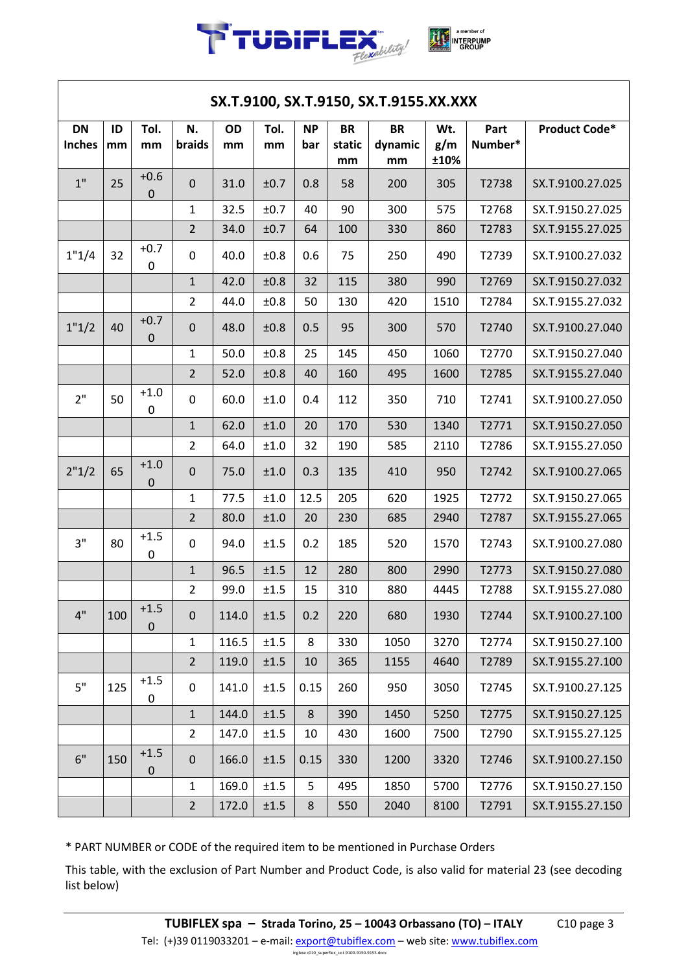

| SX.T.9100, SX.T.9150, SX.T.9155.XX.XXX |          |                            |                |          |            |                  |                           |                            |                    |                 |                  |
|----------------------------------------|----------|----------------------------|----------------|----------|------------|------------------|---------------------------|----------------------------|--------------------|-----------------|------------------|
| <b>DN</b><br><b>Inches</b>             | ID<br>mm | Tol.<br>mm                 | N.<br>braids   | OD<br>mm | Tol.<br>mm | <b>NP</b><br>bar | <b>BR</b><br>static<br>mm | <b>BR</b><br>dynamic<br>mm | Wt.<br>g/m<br>±10% | Part<br>Number* | Product Code*    |
| 1"                                     | 25       | $+0.6$<br>$\mathbf 0$      | $\mathbf 0$    | 31.0     | ±0.7       | 0.8              | 58                        | 200                        | 305                | T2738           | SX.T.9100.27.025 |
|                                        |          |                            | $\mathbf 1$    | 32.5     | ±0.7       | 40               | 90                        | 300                        | 575                | T2768           | SX.T.9150.27.025 |
|                                        |          |                            | $\overline{2}$ | 34.0     | ±0.7       | 64               | 100                       | 330                        | 860                | T2783           | SX.T.9155.27.025 |
| 1"1/4                                  | 32       | $+0.7$<br>0                | $\mathbf 0$    | 40.0     | ±0.8       | 0.6              | 75                        | 250                        | 490                | T2739           | SX.T.9100.27.032 |
|                                        |          |                            | $\mathbf{1}$   | 42.0     | ±0.8       | 32               | 115                       | 380                        | 990                | T2769           | SX.T.9150.27.032 |
|                                        |          |                            | $\overline{2}$ | 44.0     | ±0.8       | 50               | 130                       | 420                        | 1510               | T2784           | SX.T.9155.27.032 |
| 1"1/2                                  | 40       | $+0.7$<br>$\mathbf 0$      | $\mathbf 0$    | 48.0     | ±0.8       | 0.5              | 95                        | 300                        | 570                | T2740           | SX.T.9100.27.040 |
|                                        |          |                            | $\mathbf 1$    | 50.0     | ±0.8       | 25               | 145                       | 450                        | 1060               | T2770           | SX.T.9150.27.040 |
|                                        |          |                            | $\overline{2}$ | 52.0     | ±0.8       | 40               | 160                       | 495                        | 1600               | T2785           | SX.T.9155.27.040 |
| 2"                                     | 50       | $+1.0$<br>0                | $\mathbf 0$    | 60.0     | ±1.0       | 0.4              | 112                       | 350                        | 710                | T2741           | SX.T.9100.27.050 |
|                                        |          |                            | $\mathbf 1$    | 62.0     | ±1.0       | 20               | 170                       | 530                        | 1340               | T2771           | SX.T.9150.27.050 |
|                                        |          |                            | $\overline{2}$ | 64.0     | ±1.0       | 32               | 190                       | 585                        | 2110               | T2786           | SX.T.9155.27.050 |
| 2"1/2                                  | 65       | $+1.0$<br>0                | $\pmb{0}$      | 75.0     | ±1.0       | 0.3              | 135                       | 410                        | 950                | T2742           | SX.T.9100.27.065 |
|                                        |          |                            | $\mathbf 1$    | 77.5     | ±1.0       | 12.5             | 205                       | 620                        | 1925               | T2772           | SX.T.9150.27.065 |
|                                        |          |                            | $\overline{2}$ | 80.0     | ±1.0       | 20               | 230                       | 685                        | 2940               | T2787           | SX.T.9155.27.065 |
| 3"                                     | 80       | $+1.5$<br>0                | $\mathbf 0$    | 94.0     | ±1.5       | 0.2              | 185                       | 520                        | 1570               | T2743           | SX.T.9100.27.080 |
|                                        |          |                            | $\mathbf{1}$   | 96.5     | ±1.5       | 12               | 280                       | 800                        | 2990               | T2773           | SX.T.9150.27.080 |
|                                        |          |                            | $\overline{2}$ | 99.0     | ±1.5       | 15               | 310                       | 880                        | 4445               | T2788           | SX.T.9155.27.080 |
| 4"                                     | 100      | $+1.5$<br>$\boldsymbol{0}$ | $\mathbf 0$    | 114.0    | ±1.5       | 0.2              | 220                       | 680                        | 1930               | T2744           | SX.T.9100.27.100 |
|                                        |          |                            | $\mathbf 1$    | 116.5    | ±1.5       | 8                | 330                       | 1050                       | 3270               | T2774           | SX.T.9150.27.100 |
|                                        |          |                            | $\overline{2}$ | 119.0    | ±1.5       | 10               | 365                       | 1155                       | 4640               | T2789           | SX.T.9155.27.100 |
| 5"                                     | 125      | $+1.5$<br>0                | $\mathbf 0$    | 141.0    | ±1.5       | 0.15             | 260                       | 950                        | 3050               | T2745           | SX.T.9100.27.125 |
|                                        |          |                            | $\mathbf{1}$   | 144.0    | ±1.5       | 8                | 390                       | 1450                       | 5250               | T2775           | SX.T.9150.27.125 |
|                                        |          |                            | $\overline{2}$ | 147.0    | ±1.5       | 10               | 430                       | 1600                       | 7500               | T2790           | SX.T.9155.27.125 |
| 6"                                     | 150      | $+1.5$<br>$\pmb{0}$        | $\mathbf 0$    | 166.0    | ±1.5       | 0.15             | 330                       | 1200                       | 3320               | T2746           | SX.T.9100.27.150 |
|                                        |          |                            | $\mathbf{1}$   | 169.0    | ±1.5       | 5                | 495                       | 1850                       | 5700               | T2776           | SX.T.9150.27.150 |
|                                        |          |                            | $\overline{2}$ | 172.0    | ±1.5       | 8                | 550                       | 2040                       | 8100               | T2791           | SX.T.9155.27.150 |

\* PART NUMBER or CODE of the required item to be mentioned in Purchase Orders

This table, with the exclusion of Part Number and Product Code, is also valid for material 23 (see decoding list below)